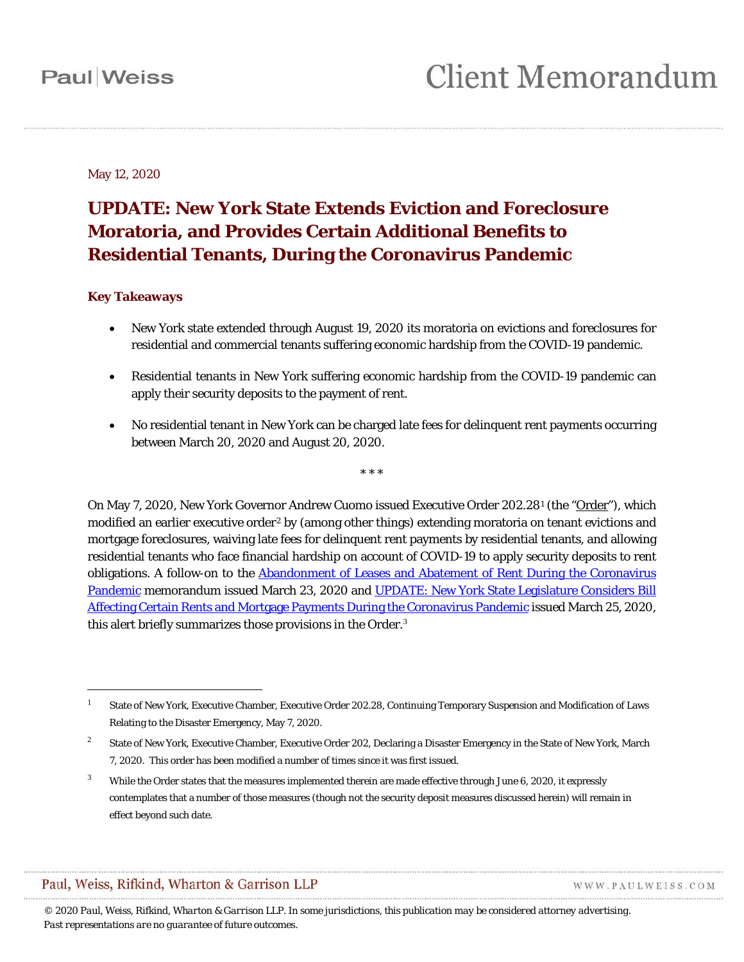May 12, 2020

## **UPDATE: New York State Extends Eviction and Foreclosure Moratoria, and Provides Certain Additional Benefits to Residential Tenants, During the Coronavirus Pandemic**

#### **Key Takeaways**

 $\overline{a}$ 

- New York state extended through August 19, 2020 its moratoria on evictions and foreclosures for residential and commercial tenants suffering economic hardship from the COVID-19 pandemic.
- Residential tenants in New York suffering economic hardship from the COVID-19 pandemic can apply their security deposits to the payment of rent.
- No residential tenant in New York can be charged late fees for delinquent rent payments occurring between March 20, 2020 and August 20, 2020.

\* \* \*

On May 7, 2020, New York Governor Andrew Cuomo issued Executive Order 202.28<sup>[1](#page-0-0)</sup> (the "Order"), which modified an earlier executive order<sup>[2](#page-0-1)</sup> by (among other things) extending moratoria on tenant evictions and mortgage foreclosures, waiving late fees for delinquent rent payments by residential tenants, and allowing residential tenants who face financial hardship on account of COVID-19 to apply security deposits to rent obligations. A follow-on to the [Abandonment of Leases and Abatement of Rent During the Coronavirus](https://www.paulweiss.com/practices/transactional/real-estate/publications/abandonment-of-leases-and-abatement-of-rent-during-the-coronavirus-pandemic?id=31224)  [Pandemic](https://www.paulweiss.com/practices/transactional/real-estate/publications/abandonment-of-leases-and-abatement-of-rent-during-the-coronavirus-pandemic?id=31224) memorandum issued March 23, 2020 and UPDATE: New York State Legislature Considers Bill [Affecting Certain Rents and Mortgage Payments During the Coronavirus Pandemic](https://www.paulweiss.com/practices/transactional/real-estate/publications/update-new-york-state-legislature-considers-bill-affecting-certain-rents-and-mortgage-payments-during-the-coronavirus-pandemic?id=31420) issued March 25, 2020, this alert briefly summarizes those provisions in the Order.<sup>[3](#page-0-2)</sup>

### Paul, Weiss, Rifkind, Wharton & Garrison LLP

WWW.PAULWEISS.COM

<span id="page-0-0"></span><sup>1</sup> State of New York, Executive Chamber, Executive Order 202.28, Continuing Temporary Suspension and Modification of Laws Relating to the Disaster Emergency, May 7, 2020.

<span id="page-0-1"></span><sup>&</sup>lt;sup>2</sup> State of New York, Executive Chamber, Executive Order 202, Declaring a Disaster Emergency in the State of New York, March 7, 2020. This order has been modified a number of times since it was first issued.

<span id="page-0-2"></span> $3$  While the Order states that the measures implemented therein are made effective through June 6, 2020, it expressly contemplates that a number of those measures (though not the security deposit measures discussed herein) will remain in effect beyond such date.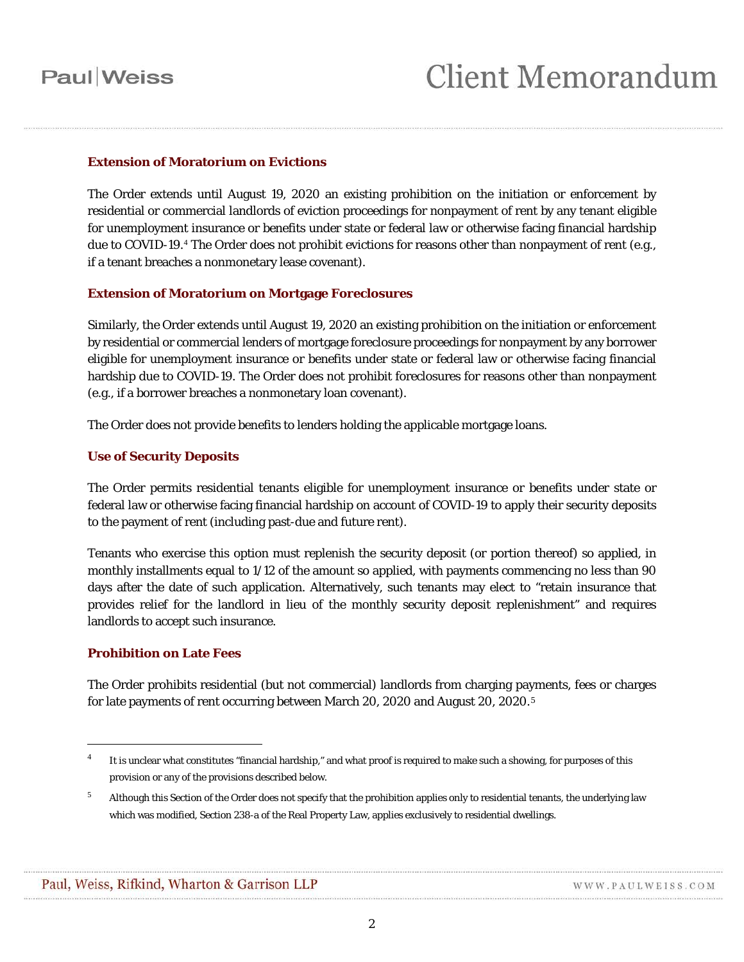# **Paul** Weiss

#### **Extension of Moratorium on Evictions**

The Order extends until August 19, 2020 an existing prohibition on the initiation or enforcement by residential or commercial landlords of eviction proceedings for nonpayment of rent by any tenant eligible for unemployment insurance or benefits under state or federal law or otherwise facing financial hardship due to COVID-19.<sup>[4](#page-1-0)</sup> The Order does not prohibit evictions for reasons other than nonpayment of rent (e.g., if a tenant breaches a nonmonetary lease covenant).

#### **Extension of Moratorium on Mortgage Foreclosures**

Similarly, the Order extends until August 19, 2020 an existing prohibition on the initiation or enforcement by residential or commercial lenders of mortgage foreclosure proceedings for nonpayment by any borrower eligible for unemployment insurance or benefits under state or federal law or otherwise facing financial hardship due to COVID-19. The Order does not prohibit foreclosures for reasons other than nonpayment (e.g., if a borrower breaches a nonmonetary loan covenant).

The Order does not provide benefits to lenders holding the applicable mortgage loans.

#### **Use of Security Deposits**

The Order permits residential tenants eligible for unemployment insurance or benefits under state or federal law or otherwise facing financial hardship on account of COVID-19 to apply their security deposits to the payment of rent (including past-due and future rent).

Tenants who exercise this option must replenish the security deposit (or portion thereof) so applied, in monthly installments equal to 1/12 of the amount so applied, with payments commencing no less than 90 days after the date of such application. Alternatively, such tenants may elect to "retain insurance that provides relief for the landlord in lieu of the monthly security deposit replenishment" and requires landlords to accept such insurance.

#### **Prohibition on Late Fees**

 $\overline{a}$ 

The Order prohibits residential (but not commercial) landlords from charging payments, fees or charges for late payments of rent occurring between March 20, 2020 and August 20, 2020.[5](#page-1-1)

<span id="page-1-0"></span><sup>4</sup> It is unclear what constitutes "financial hardship," and what proof is required to make such a showing, for purposes of this provision or any of the provisions described below.

<span id="page-1-1"></span> $5$  Although this Section of the Order does not specify that the prohibition applies only to residential tenants, the underlying law which was modified, Section 238-a of the Real Property Law, applies exclusively to residential dwellings.